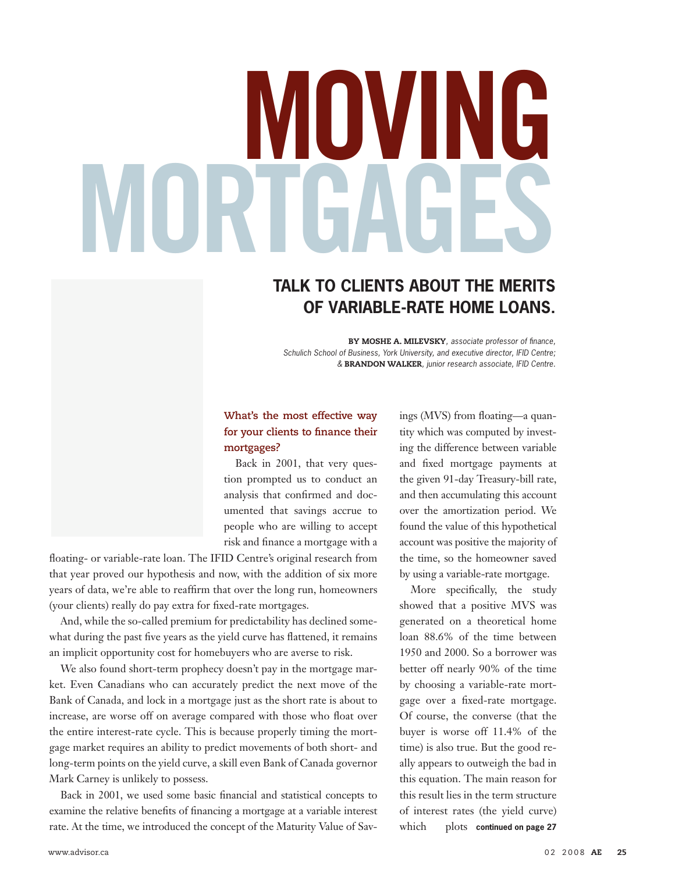# **MOVING MORTGAGES**

### **TALK TO CLIENTS ABOUT THE MERITS OF VARIABLE-RATE HOME LOANS.**

BY MOSHE A. MILEVSKY*, associate professor of finance, Schulich School of Business, York University, and executive director, IFID Centre; &* BRANDON WALKER*, junior research associate, IFID Centre.*

#### **What's the most effective way for your clients to finance their mortgages?**

Back in 2001, that very question prompted us to conduct an analysis that confirmed and documented that savings accrue to people who are willing to accept risk and finance a mortgage with a

floating- or variable-rate loan. The IFID Centre's original research from that year proved our hypothesis and now, with the addition of six more years of data, we're able to reaffirm that over the long run, homeowners (your clients) really do pay extra for fixed-rate mortgages.

And, while the so-called premium for predictability has declined somewhat during the past five years as the yield curve has flattened, it remains an implicit opportunity cost for homebuyers who are averse to risk.

We also found short-term prophecy doesn't pay in the mortgage market. Even Canadians who can accurately predict the next move of the Bank of Canada, and lock in a mortgage just as the short rate is about to increase, are worse off on average compared with those who float over the entire interest-rate cycle. This is because properly timing the mortgage market requires an ability to predict movements of both short- and long-term points on the yield curve, a skill even Bank of Canada governor Mark Carney is unlikely to possess.

Back in 2001, we used some basic financial and statistical concepts to examine the relative benefits of financing a mortgage at a variable interest rate. At the time, we introduced the concept of the Maturity Value of Sav- which

ings (MVS) from floating—a quantity which was computed by investing the difference between variable and fixed mortgage payments at the given 91-day Treasury-bill rate, and then accumulating this account over the amortization period. We found the value of this hypothetical account was positive the majority of the time, so the homeowner saved by using a variable-rate mortgage.

More specifically, the study showed that a positive MVS was generated on a theoretical home loan 88.6% of the time between 1950 and 2000. So a borrower was better off nearly 90% of the time by choosing a variable-rate mortgage over a fixed-rate mortgage. Of course, the converse (that the buyer is worse off 11.4% of the time) is also true. But the good really appears to outweigh the bad in this equation. The main reason for this result lies in the term structure of interest rates (the yield curve) plots continued on page 27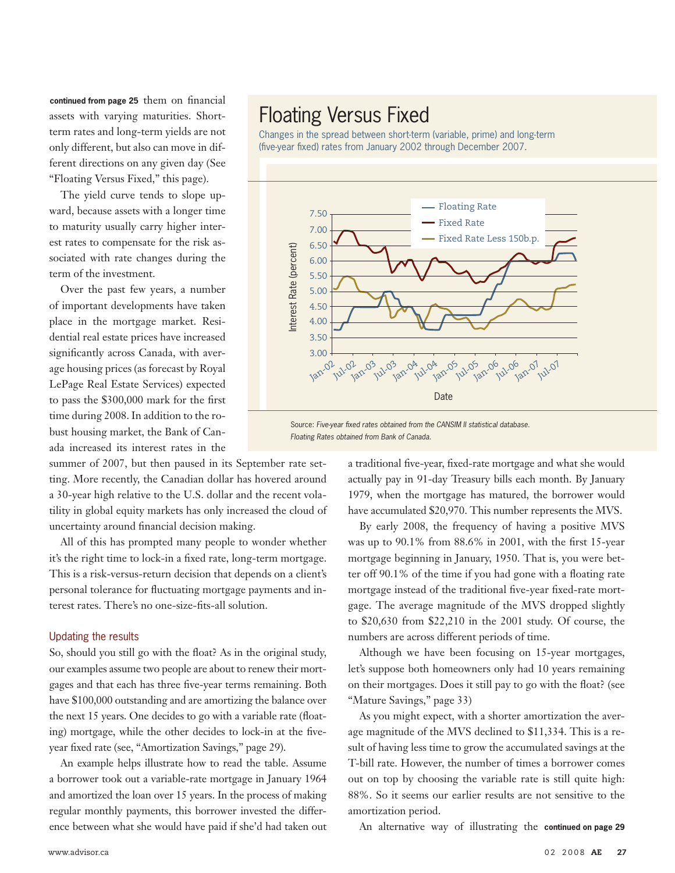continued from page 25 them on financial assets with varying maturities. Shortterm rates and long-term yields are not only different, but also can move in different directions on any given day (See "Floating Versus Fixed," this page).

The yield curve tends to slope upward, because assets with a longer time to maturity usually carry higher interest rates to compensate for the risk associated with rate changes during the term of the investment.

Over the past few years, a number of important developments have taken place in the mortgage market. Residential real estate prices have increased significantly across Canada, with average housing prices (as forecast by Royal LePage Real Estate Services) expected to pass the \$300,000 mark for the first time during 2008. In addition to the robust housing market, the Bank of Canada increased its interest rates in the

summer of 2007, but then paused in its September rate setting. More recently, the Canadian dollar has hovered around a 30-year high relative to the U.S. dollar and the recent volatility in global equity markets has only increased the cloud of uncertainty around financial decision making.

All of this has prompted many people to wonder whether it's the right time to lock-in a fixed rate, long-term mortgage. This is a risk-versus-return decision that depends on a client's personal tolerance for fluctuating mortgage payments and interest rates. There's no one-size-fits-all solution.

#### Updating the results

So, should you still go with the float? As in the original study, our examples assume two people are about to renew their mortgages and that each has three five-year terms remaining. Both have \$100,000 outstanding and are amortizing the balance over the next 15 years. One decides to go with a variable rate (floating) mortgage, while the other decides to lock-in at the fiveyear fixed rate (see, "Amortization Savings," page 29).

An example helps illustrate how to read the table. Assume a borrower took out a variable-rate mortgage in January 1964 and amortized the loan over 15 years. In the process of making regular monthly payments, this borrower invested the difference between what she would have paid if she'd had taken out

## Floating Versus Fixed

Changes in the spread between short-term (variable, prime) and long-term (five-year fixed) rates from January 2002 through December 2007.



Source: *Five-year fixed rates obtained from the CANSIM II statistical database. Floating Rates obtained from Bank of Canada.*

> a traditional five-year, fixed-rate mortgage and what she would actually pay in 91-day Treasury bills each month. By January 1979, when the mortgage has matured, the borrower would have accumulated \$20,970. This number represents the MVS.

> By early 2008, the frequency of having a positive MVS was up to 90.1% from 88.6% in 2001, with the first 15-year mortgage beginning in January, 1950. That is, you were better off 90.1% of the time if you had gone with a floating rate mortgage instead of the traditional five-year fixed-rate mortgage. The average magnitude of the MVS dropped slightly to \$20,630 from \$22,210 in the 2001 study. Of course, the numbers are across different periods of time.

> Although we have been focusing on 15-year mortgages, let's suppose both homeowners only had 10 years remaining on their mortgages. Does it still pay to go with the float? (see "Mature Savings," page 33)

> As you might expect, with a shorter amortization the average magnitude of the MVS declined to \$11,334. This is a result of having less time to grow the accumulated savings at the T-bill rate. However, the number of times a borrower comes out on top by choosing the variable rate is still quite high: 88%. So it seems our earlier results are not sensitive to the amortization period.

An alternative way of illustrating the **continued on page 29**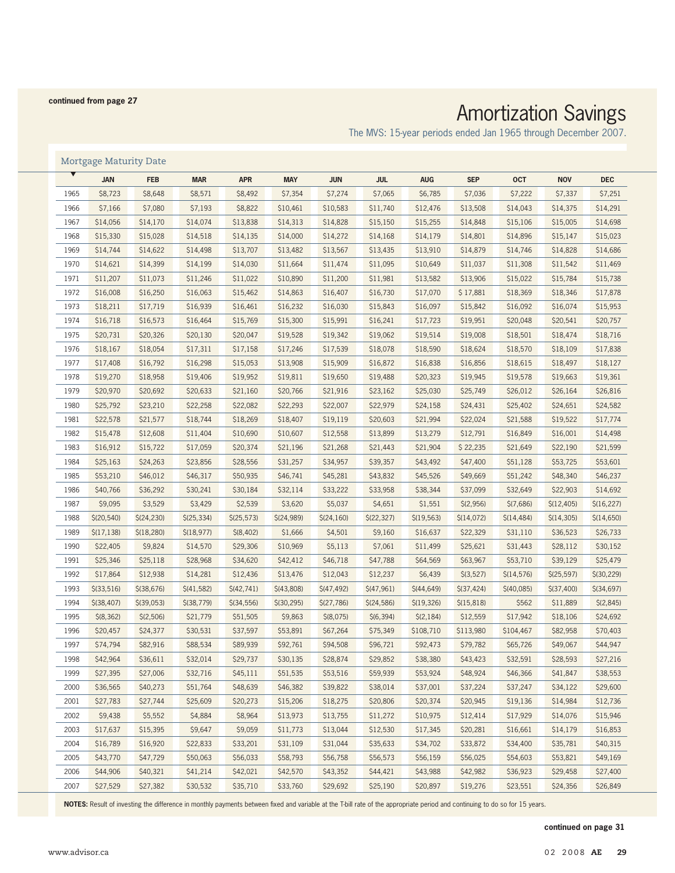#### **continued from page 27**

# Amortization Savings

The MVS: 15-year periods ended Jan 1965 through December 2007.

#### Mortgage Maturity Date

|      | <b>JAN</b>   | <b>FEB</b>   | <b>MAR</b>  | <b>APR</b>   | <b>MAY</b>  | <b>JUN</b>  | <b>JUL</b>  | <b>AUG</b>  | <b>SEP</b>  | <b>OCT</b>  | <b>NOV</b>   | <b>DEC</b>   |
|------|--------------|--------------|-------------|--------------|-------------|-------------|-------------|-------------|-------------|-------------|--------------|--------------|
| 1965 | \$8,723      | \$8,648      | \$8,571     | \$8,492      | \$7,354     | \$7,274     | \$7,065     | \$6,785     | \$7,036     | \$7,222     | \$7,337      | \$7,251      |
| 1966 | \$7,166      | \$7,080      | \$7,193     | \$8,822      | \$10,461    | \$10,583    | \$11,740    | \$12,476    | \$13,508    | \$14,043    | \$14,375     | \$14,291     |
| 1967 | \$14,056     | \$14,170     | \$14,074    | \$13,838     | \$14,313    | \$14,828    | \$15,150    | \$15,255    | \$14,848    | \$15,106    | \$15,005     | \$14,698     |
| 1968 | \$15,330     | \$15,028     | \$14,518    | \$14,135     | \$14,000    | \$14,272    | \$14,168    | \$14,179    | \$14,801    | \$14,896    | \$15,147     | \$15,023     |
| 1969 | \$14,744     | \$14,622     | \$14,498    | \$13,707     | \$13,482    | \$13,567    | \$13,435    | \$13,910    | \$14,879    | \$14,746    | \$14,828     | \$14,686     |
| 1970 | \$14,621     | \$14,399     | \$14,199    | \$14,030     | \$11,664    | \$11,474    | \$11,095    | \$10,649    | \$11,037    | \$11,308    | \$11,542     | \$11,469     |
| 1971 | \$11,207     | \$11,073     | \$11,246    | \$11,022     | \$10,890    | \$11,200    | \$11,981    | \$13,582    | \$13,906    | \$15,022    | \$15,784     | \$15,738     |
| 1972 | \$16,008     | \$16,250     | \$16,063    | \$15,462     | \$14,863    | \$16,407    | \$16,730    | \$17,070    | \$17,881    | \$18,369    | \$18,346     | \$17,878     |
| 1973 | \$18,211     | \$17,719     | \$16,939    | \$16,461     | \$16,232    | \$16,030    | \$15,843    | \$16,097    | \$15,842    | \$16,092    | \$16,074     | \$15,953     |
| 1974 | \$16,718     | \$16,573     | \$16,464    | \$15,769     | \$15,300    | \$15,991    | \$16,241    | \$17,723    | \$19,951    | \$20,048    | \$20,541     | \$20,757     |
| 1975 | \$20,731     | \$20,326     | \$20,130    | \$20,047     | \$19,528    | \$19,342    | \$19,062    | \$19,514    | \$19,008    | \$18,501    | \$18,474     | \$18,716     |
| 1976 | \$18,167     | \$18,054     | \$17,311    | \$17,158     | \$17,246    | \$17,539    | \$18,078    | \$18,590    | \$18,624    | \$18,570    | \$18,109     | \$17,838     |
| 1977 | \$17,408     | \$16,792     | \$16,298    | \$15,053     | \$13,908    | \$15,909    | \$16,872    | \$16,838    | \$16,856    | \$18,615    | \$18,497     | \$18,127     |
| 1978 | \$19,270     | \$18,958     | \$19,406    | \$19,952     | \$19,811    | \$19,650    | \$19,488    | \$20,323    | \$19,945    | \$19,578    | \$19,663     | \$19,361     |
| 1979 | \$20,970     | \$20,692     | \$20,633    | \$21,160     | \$20,766    | \$21,916    | \$23,162    | \$25,030    | \$25,749    | \$26,012    | \$26,164     | \$26,816     |
| 1980 | \$25,792     | \$23,210     | \$22,258    | \$22,082     | \$22,293    | \$22,007    | \$22,979    | \$24,158    | \$24,431    | \$25,402    | \$24,651     | \$24,582     |
| 1981 | \$22,578     | \$21,577     | \$18,744    | \$18,269     | \$18,407    | \$19,119    | \$20,603    | \$21,994    | \$22,024    | \$21,588    | \$19,522     | \$17,774     |
| 1982 | \$15,478     | \$12,608     | \$11,404    | \$10,690     | \$10,607    | \$12,558    | \$13,899    | \$13,279    | \$12,791    | \$16,849    | \$16,001     | \$14,498     |
| 1983 | \$16,912     | \$15,722     | \$17,059    | \$20,374     | \$21,196    | \$21,268    | \$21,443    | \$21,904    | \$22,235    | \$21,649    | \$22,190     | \$21,599     |
| 1984 | \$25,163     | \$24,263     | \$23,856    | \$28,556     | \$31,257    | \$34,957    | \$39,357    | \$43,492    | \$47,400    | \$51,128    | \$53,725     | \$53,601     |
| 1985 | \$53,210     | \$46,012     | \$46,317    | \$50,935     | \$46,741    | \$45,281    | \$43,832    | \$45,526    | \$49,669    | \$51,242    | \$48,340     | \$46,237     |
| 1986 | \$40,766     | \$36,292     | \$30,241    | \$30,184     | \$32,114    | \$33,222    | \$33,958    | \$38,344    | \$37,099    | \$32,649    | \$22,903     | \$14,692     |
| 1987 | \$9,095      | \$3,529      | \$3,429     | \$2,539      | \$3,620     | \$5,037     | \$4,651     | \$1,551     | \$(2,956)   | \$(7,686)   | \$(12, 405)  | \$(16, 227)  |
| 1988 | \$(20, 540)  | \$(24, 230)  | \$(25, 334) | \$(25, 573)  | \$(24,989)  | \$(24,160)  | \$(22, 327) | \$(19, 563) | \$(14,072)  | \$(14, 484) | \$(14, 305)  | \$(14,650)   |
| 1989 | \$(17, 138)  | \$(18, 280)  | \$(18, 977) | \$ (8, 402)  | \$1,666     | \$4,501     | \$9,160     | \$16,637    | \$22,329    | \$31,110    | \$36,523     | \$26,733     |
| 1990 | \$22,405     | \$9,824      | \$14,570    | \$29,306     | \$10,969    | \$5,113     | \$7,061     | \$11,499    | \$25,621    | \$31,443    | \$28,112     | \$30,152     |
| 1991 | \$25,346     | \$25,118     | \$28,968    | \$34,620     | \$42,412    | \$46,718    | \$47,788    | \$64,569    | \$63,967    | \$53,710    | \$39,129     | \$25,479     |
| 1992 | \$17,864     | \$12,938     | \$14,281    | \$12,436     | \$13,476    | \$12,043    | \$12,237    | \$6,439     | \$(3,527)   | \$(14, 576) | \$(25, 597)  | \$(30, 229)  |
| 1993 | $$$ (33,516) | $$$ (38,676) | \$(41, 582) | \$(42, 741)  | \$(43,808)  | \$(47, 492) | \$(47,961)  | \$(44,649)  | \$(37, 424) | \$(40,085)  | $$$ (37,400) | $$$ (34,697) |
| 1994 | \$(38,407)   | $$$ (39,053) | \$(38, 779) | $$$ (34,556) | \$(30, 295) | \$(27,786)  | \$(24, 586) | \$(19, 326) | \$(15, 818) | \$562       | \$11,889     | \$(2,845)    |
| 1995 | \$(8, 362)   | \$(2,506)    | \$21,779    | \$51,505     | \$9,863     | \$(8,075)   | \$(6, 394)  | \$(2,184)   | \$12,559    | \$17,942    | \$18,106     | \$24,692     |
| 1996 | \$20,457     | \$24,377     | \$30,531    | \$37,597     | \$53,891    | \$67,264    | \$75,349    | \$108,710   | \$113,980   | \$104,467   | \$82,958     | \$70,403     |
| 1997 | \$74,794     | \$82,916     | \$88,534    | \$89,939     | \$92,761    | \$94,508    | \$96,721    | \$92,473    | \$79,782    | \$65,726    | \$49,067     | \$44,947     |
| 1998 | \$42,964     | \$36,611     | \$32,014    | \$29,737     | \$30,135    | \$28,874    | \$29,852    | \$38,380    | \$43,423    | \$32,591    | \$28,593     | \$27,216     |
| 1999 | \$27,395     | \$27,006     | \$32,716    | \$45,111     | \$51,535    | \$53,516    | \$59,939    | \$53,924    | \$48,924    | \$46,366    | \$41,847     | \$38,553     |
| 2000 | \$36,565     | \$40,273     | \$51,764    | \$48,639     | \$46,382    | \$39,822    | \$38,014    | \$37,001    | \$37,224    | \$37,247    | \$34,122     | \$29,600     |
| 2001 | \$27,783     | \$27,744     | \$25,609    | \$20,273     | \$15,206    | \$18,275    | \$20,806    | \$20,374    | \$20,945    | \$19,136    | \$14,984     | \$12,736     |
| 2002 | \$9,438      | \$5,552      | \$4,884     | \$8,964      | \$13,973    | \$13,755    | \$11,272    | \$10,975    | \$12,414    | \$17,929    | \$14,076     | \$15,946     |
| 2003 | \$17,637     | \$15,395     | \$9,647     | \$9,059      | \$11,773    | \$13,044    | \$12,530    | \$17,345    | \$20,281    | \$16,661    | \$14,179     | \$16,853     |
| 2004 | \$16,789     | \$16,920     | \$22,833    | \$33,201     | \$31,109    | \$31,044    | \$35,633    | \$34,702    | \$33,872    | \$34,400    | \$35,781     | \$40,315     |
| 2005 | \$43,770     | \$47,729     | \$50,063    | \$56,033     | \$58,793    | \$56,758    | \$56,573    | \$56,159    | \$56,025    | \$54,603    | \$53,821     | \$49,169     |
| 2006 | \$44,906     | \$40,321     | \$41,214    | \$42,021     | \$42,570    | \$43,352    | \$44,421    | \$43,988    | \$42,982    | \$36,923    | \$29,458     | \$27,400     |
| 2007 | \$27,529     | \$27,382     | \$30,532    | \$35,710     | \$33,760    | \$29,692    | \$25,190    | \$20,897    | \$19,276    | \$23,551    | \$24,356     | \$26,849     |

**NOTES:** Result of investing the difference in monthly payments between fixed and variable at the T-bill rate of the appropriate period and continuing to do so for 15 years.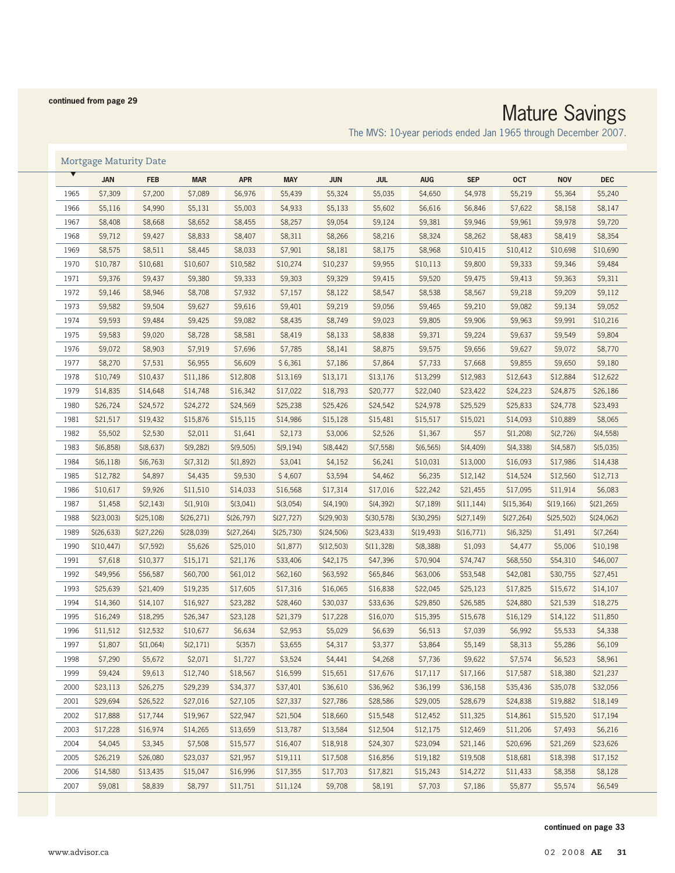#### **continued from page 29**

## Mature Savings

The MVS: 10-year periods ended Jan 1965 through December 2007.

#### Mortgage Maturity Date

| \$7,309<br>\$7,200<br>\$7,089<br>\$6,976<br>\$5,439<br>\$5,324<br>\$5,035<br>\$4,650<br>\$4,978<br>1965                                                  | \$5,240<br>\$5,219<br>\$5,364  |
|----------------------------------------------------------------------------------------------------------------------------------------------------------|--------------------------------|
| \$5,116<br>\$4,990<br>1966<br>\$5,131<br>\$5,003<br>\$4,933<br>\$5,133<br>\$5,602<br>\$6,616<br>\$6,846                                                  | \$8,147<br>\$7,622<br>\$8,158  |
| 1967<br>\$8,408<br>\$8,668<br>\$8,652<br>\$8,455<br>\$8,257<br>\$9,054<br>\$9,124<br>\$9,381<br>\$9,946                                                  | \$9,720<br>\$9,961<br>\$9,978  |
| 1968<br>\$9,712<br>\$9,427<br>\$8,833<br>\$8,407<br>\$8,311<br>\$8,266<br>\$8,216<br>\$8,324<br>\$8,262                                                  | \$8,354<br>\$8,483<br>\$8,419  |
| 1969<br>\$8,575<br>\$8,511<br>\$8,445<br>\$8,033<br>\$7,901<br>\$8,181<br>\$8,175<br>\$8,968<br>\$10,415<br>\$10,412                                     | \$10,690<br>\$10,698           |
| 1970<br>\$10,787<br>\$10,681<br>\$10,607<br>\$10,582<br>\$9,955<br>\$10,274<br>\$10,237<br>\$10,113<br>\$9,800                                           | \$9,484<br>\$9,333<br>\$9,346  |
| 1971<br>\$9,376<br>\$9,437<br>\$9,380<br>\$9,333<br>\$9,303<br>\$9,329<br>\$9,415<br>\$9,520<br>\$9,475                                                  | \$9,311<br>\$9,413<br>\$9,363  |
| 1972<br>\$9,146<br>\$8,946<br>\$8,708<br>\$7,932<br>\$7,157<br>\$8,122<br>\$8,547<br>\$8,538<br>\$8,567                                                  | \$9,112<br>\$9,218<br>\$9,209  |
| \$9,582<br>1973<br>\$9,504<br>\$9,627<br>\$9,616<br>\$9,401<br>\$9,219<br>\$9,056<br>\$9,465<br>\$9,210                                                  | \$9,052<br>\$9,082<br>\$9,134  |
| 1974<br>\$9,593<br>\$9,484<br>\$9,425<br>\$9,082<br>\$8,435<br>\$8,749<br>\$9,023<br>\$9,805<br>\$9,906                                                  | \$10,216<br>\$9,963<br>\$9,991 |
| 1975<br>\$9,583<br>\$9,020<br>\$8,581<br>\$9,224<br>\$8,728<br>\$8,419<br>\$8,133<br>\$8,838<br>\$9,371                                                  | \$9,804<br>\$9,637<br>\$9,549  |
| \$9,072<br>1976<br>\$8,903<br>\$7,919<br>\$7,696<br>\$7,785<br>\$8,141<br>\$8,875<br>\$9,575<br>\$9,656                                                  | \$8,770<br>\$9,627<br>\$9,072  |
| \$8,270<br>\$7,531<br>\$6,955<br>\$6,361<br>\$7,864<br>\$7,733<br>1977<br>\$6,609<br>\$7,186<br>\$7,668                                                  | \$9,180<br>\$9,855<br>\$9,650  |
| 1978<br>\$10,749<br>\$10,437<br>\$11,186<br>\$12,808<br>\$13,169<br>\$13,299<br>\$12,983<br>\$12,643<br>\$13,171<br>\$13,176                             | \$12,884<br>\$12,622           |
| 1979<br>\$14,835<br>\$14,648<br>\$14,748<br>\$16,342<br>\$17,022<br>\$18,793<br>\$20,777<br>\$22,040<br>\$23,422<br>\$24,223                             | \$24,875<br>\$26,186           |
| 1980<br>\$26,724<br>\$24,572<br>\$24,272<br>\$24,569<br>\$25,238<br>\$25,426<br>\$24,542<br>\$24,978<br>\$25,529<br>\$25,833                             | \$23,493<br>\$24,778           |
| 1981<br>\$21,517<br>\$19,432<br>\$15,876<br>\$15,115<br>\$14,986<br>\$15,128<br>\$15,481<br>\$15,517<br>\$15,021<br>\$14,093                             | \$8,065<br>\$10,889            |
| 1982<br>\$5,502<br>\$2,530<br>\$3,006<br>\$57<br>\$2,011<br>\$1,641<br>\$2,173<br>\$2,526<br>\$1,367<br>\$(1,208)                                        | \$(4, 558)<br>\$(2, 726)       |
| 1983<br>\$(4, 409)<br>\$(6, 858)<br>\$(8,637)<br>\$(9, 282)<br>\$(9, 505)<br>\$(9,194)<br>\$ (8, 442)<br>\$(7, 558)<br>\$(6, 565)<br>\$(4,338)           | \$(5,035)<br>\$(4,587)         |
| 1984<br>\$3,041<br>\$(6, 118)<br>\$(6, 763)<br>\$(7,312)<br>\$(1,892)<br>\$4,152<br>\$6,241<br>\$10,031<br>\$13,000<br>\$16,093                          | \$17,986<br>\$14,438           |
| 1985<br>\$12,782<br>\$3,594<br>\$4,897<br>\$4,435<br>\$9,530<br>\$4,607<br>\$4,462<br>\$6,235<br>\$12,142<br>\$14,524                                    | \$12,713<br>\$12,560           |
| 1986<br>\$9,926<br>\$10,617<br>\$11,510<br>\$14,033<br>\$16,568<br>\$17,314<br>\$17,016<br>\$22,242<br>\$21,455<br>\$17,095                              | \$6,083<br>\$11,914            |
| 1987<br>\$1,458<br>\$(2, 143)<br>\$(1,910)<br>\$(3,041)<br>\$(4,190)<br>\$(4, 392)<br>\$(11, 144)<br>\$(15, 364)<br>\$(3,054)<br>\$(7,189)               | \$(19,166)<br>\$(21, 265)      |
| 1988<br>\$(23,003)<br>\$(25,108)<br>\$(26, 271)<br>\$(26, 797)<br>\$(27, 727)<br>\$(29,903)<br>$$$ (30,578)<br>\$(30, 295)<br>\$(27,149)<br>\$(27, 264)  | \$(24,062)<br>\$(25,502)       |
| 1989<br>\$(26, 633)<br>\$(27, 226)<br>\$(28, 039)<br>\$(27, 264)<br>\$(25, 730)<br>\$(24,506)<br>\$(23, 433)<br>\$(19, 493)<br>\$(16, 771)<br>\$(6, 325) | \$(7, 264)<br>\$1,491          |
| 1990<br>\$(7, 592)<br>\$1,093<br>\$(10, 447)<br>\$5,626<br>\$25,010<br>\$(1, 877)<br>\$(12,503)<br>\$(11, 328)<br>\$(8, 388)                             | \$10,198<br>\$4,477<br>\$5,006 |
| 1991<br>\$7,618<br>\$10,377<br>\$42,175<br>\$15,171<br>\$21,176<br>\$33,406<br>\$47,396<br>\$70,904<br>\$74,747<br>\$68,550                              | \$46,007<br>\$54,310           |
| 1992<br>\$49,956<br>\$56,587<br>\$62,160<br>\$63,592<br>\$65,846<br>\$53,548<br>\$60,700<br>\$61,012<br>\$63,006<br>\$42,081                             | \$30,755<br>\$27,451           |
| 1993<br>\$25,639<br>\$21,409<br>\$19,235<br>\$17,605<br>\$17,316<br>\$16,065<br>\$16,838<br>\$22,045<br>\$25,123<br>\$17,825                             | \$15,672<br>\$14,107           |
| 1994<br>\$14,360<br>\$14,107<br>\$16,927<br>\$23,282<br>\$30,037<br>\$33,636<br>\$29,850<br>\$26,585<br>\$24,880<br>\$28,460                             | \$21,539<br>\$18,275           |
| 1995<br>\$16,249<br>\$18,295<br>\$26,347<br>\$23,128<br>\$21,379<br>\$17,228<br>\$16,070<br>\$15,395<br>\$15,678<br>\$16,129                             | \$11,850<br>\$14,122           |
| 1996<br>\$11,512<br>\$12,532<br>\$10,677<br>\$6,634<br>\$2,953<br>\$5,029<br>\$6,639<br>\$6,513<br>\$7,039                                               | \$4,338<br>\$6,992<br>\$5,533  |
| 1997<br>\$1,807<br>\$(1,064)<br>\$(2,171)<br>$$$ (357)<br>\$3,655<br>\$4,317<br>\$3,377<br>\$3,864<br>\$5,149                                            | \$6,109<br>\$8,313<br>\$5,286  |
| 1998<br>\$7,290<br>\$3,524<br>\$5,672<br>\$2,071<br>\$1,727<br>\$4,441<br>\$4,268<br>\$7,736<br>\$9,622                                                  | \$6,523<br>\$8,961<br>\$7,574  |
| 1999<br>\$9,424<br>\$9,613<br>\$12,740<br>\$18,567<br>\$16,599<br>\$15,651<br>\$17,676<br>\$17,117<br>\$17,166<br>\$17,587                               | \$18,380<br>\$21,237           |
| 2000<br>\$23,113<br>\$26,275<br>\$29,239<br>\$34,377<br>\$37,401<br>\$36,610<br>\$36,962<br>\$36,199<br>\$36,158<br>\$35,436                             | \$35,078<br>\$32,056           |
| \$29,694<br>2001<br>\$26,522<br>\$27,016<br>\$27,105<br>\$27,337<br>\$27,786<br>\$28,586<br>\$29,005<br>\$28,679<br>\$24,838                             | \$19,882<br>\$18,149           |
| 2002<br>\$17,888<br>\$17,744<br>\$19,967<br>\$22,947<br>\$21,504<br>\$18,660<br>\$15,548<br>\$12,452<br>\$11,325<br>\$14,861                             | \$15,520<br>\$17,194           |
| 2003<br>\$17,228<br>\$16,974<br>\$14,265<br>\$13,659<br>\$13,787<br>\$13,584<br>\$12,504<br>\$12,175<br>\$12,469<br>\$11,206                             | \$7,493<br>\$6,216             |
| 2004<br>\$4,045<br>\$3,345<br>\$7,508<br>\$15,577<br>\$16,407<br>\$18,918<br>\$24,307<br>\$23,094<br>\$21,146<br>\$20,696                                | \$21,269<br>\$23,626           |
| 2005<br>\$26,219<br>\$26,080<br>\$23,037<br>\$21,957<br>\$19,111<br>\$17,508<br>\$16,856<br>\$19,182<br>\$19,508<br>\$18,681                             | \$17,152<br>\$18,398           |
| 2006<br>\$14,580<br>\$13,435<br>\$16,996<br>\$17,355<br>\$15,047<br>\$17,703<br>\$17,821<br>\$15,243<br>\$14,272<br>\$11,433                             | \$8,358<br>\$8,128             |
| 2007<br>\$9,081<br>\$8,839<br>\$8,797<br>\$11,751<br>\$11,124<br>\$9,708<br>\$8,191<br>\$7,703<br>\$7,186                                                | \$5,877<br>\$5,574<br>\$6,549  |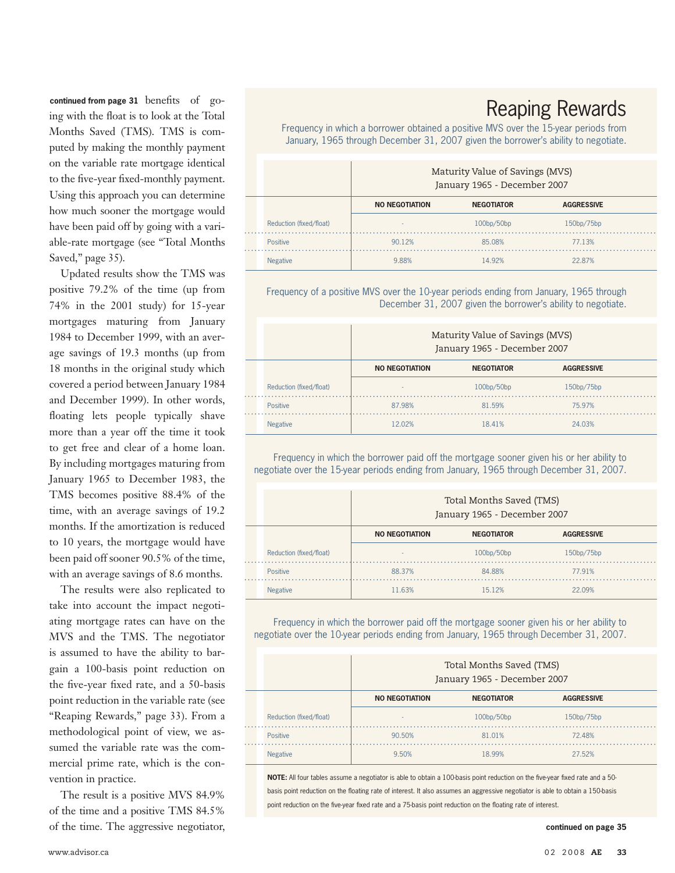continued from page 31 benefits of going with the float is to look at the Total Months Saved (TMS). TMS is computed by making the monthly payment on the variable rate mortgage identical to the five-year fixed-monthly payment. Using this approach you can determine how much sooner the mortgage would have been paid off by going with a variable-rate mortgage (see "Total Months Saved," page 35).

Updated results show the TMS was positive 79.2% of the time (up from 74% in the 2001 study) for 15-year mortgages maturing from January 1984 to December 1999, with an average savings of 19.3 months (up from 18 months in the original study which covered a period between January 1984 and December 1999). In other words, floating lets people typically shave more than a year off the time it took to get free and clear of a home loan. By including mortgages maturing from January 1965 to December 1983, the TMS becomes positive 88.4% of the time, with an average savings of 19.2 months. If the amortization is reduced to 10 years, the mortgage would have been paid off sooner 90.5% of the time, with an average savings of 8.6 months.

The results were also replicated to take into account the impact negotiating mortgage rates can have on the MVS and the TMS. The negotiator is assumed to have the ability to bargain a 100-basis point reduction on the five-year fixed rate, and a 50-basis point reduction in the variable rate (see "Reaping Rewards," page 33). From a methodological point of view, we assumed the variable rate was the commercial prime rate, which is the convention in practice.

The result is a positive MVS 84.9% of the time and a positive TMS 84.5% of the time. The aggressive negotiator, **continued on page 35**

## Reaping Rewards

Frequency in which a borrower obtained a positive MVS over the 15-year periods from January, 1965 through December 31, 2007 given the borrower's ability to negotiate.

|                         | Maturity Value of Savings (MVS)<br>January 1965 - December 2007 |                   |                   |  |  |  |  |  |  |
|-------------------------|-----------------------------------------------------------------|-------------------|-------------------|--|--|--|--|--|--|
|                         | <b>NO NEGOTIATION</b>                                           | <b>NEGOTIATOR</b> | <b>AGGRESSIVE</b> |  |  |  |  |  |  |
| Reduction (fixed/float) | $\overline{\phantom{a}}$                                        | 100bp/50bp        | 150bp/75bp        |  |  |  |  |  |  |
| <b>Positive</b>         | 90.12%                                                          | 85.08%            | 77.13%            |  |  |  |  |  |  |
| <b>Negative</b>         | 988%                                                            | 14 92%            | 2287%             |  |  |  |  |  |  |

Frequency of a positive MVS over the 10-year periods ending from January, 1965 through December 31, 2007 given the borrower's ability to negotiate.

|                         | Maturity Value of Savings (MVS)<br>January 1965 - December 2007 |                   |                   |  |  |  |  |  |  |
|-------------------------|-----------------------------------------------------------------|-------------------|-------------------|--|--|--|--|--|--|
|                         | <b>NO NEGOTIATION</b>                                           | <b>NEGOTIATOR</b> | <b>AGGRESSIVE</b> |  |  |  |  |  |  |
| Reduction (fixed/float) | $\overline{\phantom{a}}$                                        | 100bp/50bp        | 150bp/75bp        |  |  |  |  |  |  |
| <b>Positive</b>         | 87.98%                                                          | 81 59%            | 75 97%            |  |  |  |  |  |  |
| <b>Negative</b>         | 12 በ2%                                                          | 1841%             | 24 0.3%           |  |  |  |  |  |  |

Frequency in which the borrower paid off the mortgage sooner given his or her ability to negotiate over the 15-year periods ending from January, 1965 through December 31, 2007.

|                         |                       | Total Months Saved (TMS)<br>January 1965 - December 2007 |                   |  |  |  |  |  |  |
|-------------------------|-----------------------|----------------------------------------------------------|-------------------|--|--|--|--|--|--|
|                         | <b>NO NEGOTIATION</b> | <b>NEGOTIATOR</b>                                        | <b>AGGRESSIVE</b> |  |  |  |  |  |  |
| Reduction (fixed/float) | ۰                     | 100bp/50bp                                               | 150bp/75bp        |  |  |  |  |  |  |
| Positive                | 88.37%                | 84 88%                                                   | 77 91%            |  |  |  |  |  |  |
| <b>Negative</b>         | 11 63%                | 15 1 2%                                                  | 22 09%            |  |  |  |  |  |  |

Frequency in which the borrower paid off the mortgage sooner given his or her ability to negotiate over the 10-year periods ending from January, 1965 through December 31, 2007.

|                         |                       | Total Months Saved (TMS)<br>January 1965 - December 2007 |                   |  |  |  |  |  |  |  |
|-------------------------|-----------------------|----------------------------------------------------------|-------------------|--|--|--|--|--|--|--|
|                         | <b>NO NEGOTIATION</b> | <b>NEGOTIATOR</b>                                        | <b>AGGRESSIVE</b> |  |  |  |  |  |  |  |
| Reduction (fixed/float) | $\sim$                | 100 <sub>bp</sub> /50 <sub>bp</sub>                      | 150bp/75bp        |  |  |  |  |  |  |  |
| <b>Positive</b>         | 90.50%                | 81 01%                                                   | 72.48%            |  |  |  |  |  |  |  |
|                         | 9.50%                 | 18 99%                                                   | 27 52%            |  |  |  |  |  |  |  |

**NOTE:** All four tables assume a negotiator is able to obtain a 100-basis point reduction on the five-year fixed rate and a 50 basis point reduction on the floating rate of interest. It also assumes an aggressive negotiator is able to obtain a 150-basis point reduction on the five-year fixed rate and a 75-basis point reduction on the floating rate of interest.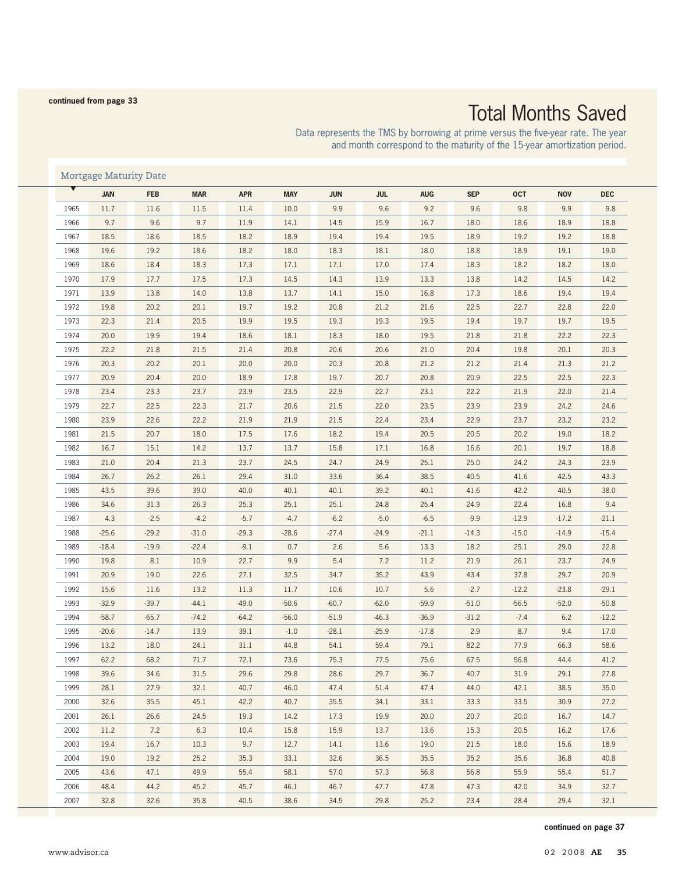# Total Months Saved

Data represents the TMS by borrowing at prime versus the five-year rate. The year and month correspond to the maturity of the 15-year amortization period.

| Mortgage Maturity Date |            |            |            |            |            |            |            |            |            |            |            |            |
|------------------------|------------|------------|------------|------------|------------|------------|------------|------------|------------|------------|------------|------------|
|                        | <b>JAN</b> | <b>FEB</b> | <b>MAR</b> | <b>APR</b> | <b>MAY</b> | <b>JUN</b> | <b>JUL</b> | <b>AUG</b> | <b>SEP</b> | <b>OCT</b> | <b>NOV</b> | <b>DEC</b> |
| 1965                   | 11.7       | 11.6       | 11.5       | 11.4       | 10.0       | 9.9        | 9.6        | 9.2        | 9.6        | 9.8        | 9.9        | 9.8        |
| 1966                   | 9.7        | 9.6        | 9.7        | 11.9       | 14.1       | 14.5       | 15.9       | 16.7       | 18.0       | 18.6       | 18.9       | 18.8       |
| 1967                   | 18.5       | 18.6       | 18.5       | 18.2       | 18.9       | 19.4       | 19.4       | 19.5       | 18.9       | 19.2       | 19.2       | 18.8       |
| 1968                   | 19.6       | 19.2       | 18.6       | 18.2       | 18.0       | 18.3       | 18.1       | 18.0       | 18.8       | 18.9       | 19.1       | 19.0       |
| 1969                   | 18.6       | 18.4       | 18.3       | 17.3       | 17.1       | 17.1       | 17.0       | 17.4       | 18.3       | 18.2       | 18.2       | 18.0       |
| 1970                   | 17.9       | 17.7       | 17.5       | 17.3       | 14.5       | 14.3       | 13.9       | 13.3       | 13.8       | 14.2       | 14.5       | 14.2       |
| 1971                   | 13.9       | 13.8       | 14.0       | 13.8       | 13.7       | 14.1       | 15.0       | 16.8       | 17.3       | 18.6       | 19.4       | 19.4       |
| 1972                   | 19.8       | 20.2       | 20.1       | 19.7       | 19.2       | 20.8       | 21.2       | 21.6       | 22.5       | 22.7       | 22.8       | 22.0       |
| 1973                   | 22.3       | 21.4       | 20.5       | 19.9       | 19.5       | 19.3       | 19.3       | 19.5       | 19.4       | 19.7       | 19.7       | 19.5       |
| 1974                   | 20.0       | 19.9       | 19.4       | 18.6       | 18.1       | 18.3       | 18.0       | 19.5       | 21.8       | 21.8       | 22.2       | 22.3       |
| 1975                   | 22.2       | 21.8       | 21.5       | 21.4       | 20.8       | 20.6       | 20.6       | 21.0       | 20.4       | 19.8       | 20.1       | 20.3       |
| 1976                   | 20.3       | 20.2       | 20.1       | 20.0       | 20.0       | 20.3       | 20.8       | 21.2       | 21.2       | 21.4       | 21.3       | 21.2       |
| 1977                   | 20.9       | 20.4       | 20.0       | 18.9       | 17.8       | 19.7       | 20.7       | 20.8       | 20.9       | 22.5       | 22.5       | 22.3       |
| 1978                   | 23.4       | 23.3       | 23.7       | 23.9       | 23.5       | 22.9       | 22.7       | 23.1       | 22.2       | 21.9       | 22.0       | 21.4       |
| 1979                   | 22.7       | 22.5       | 22.3       | 21.7       | 20.6       | 21.5       | 22.0       | 23.5       | 23.9       | 23.9       | 24.2       | 24.6       |
| 1980                   | 23.9       | 22.6       | 22.2       | 21.9       | 21.9       | 21.5       | 22.4       | 23.4       | 22.9       | 23.7       | 23.2       | 23.2       |
| 1981                   | 21.5       | 20.7       | 18.0       | 17.5       | 17.6       | 18.2       | 19.4       | 20.5       | 20.5       | 20.2       | 19.0       | 18.2       |
| 1982                   | 16.7       | 15.1       | 14.2       | 13.7       | 13.7       | 15.8       | 17.1       | 16.8       | 16.6       | 20.1       | 19.7       | 18.8       |
| 1983                   | 21.0       | 20.4       | 21.3       | 23.7       | 24.5       | 24.7       | 24.9       | 25.1       | 25.0       | 24.2       | 24.3       | 23.9       |
| 1984                   | 26.7       | 26.2       | 26.1       | 29.4       | 31.0       | 33.6       | 36.4       | 38.5       | 40.5       | 41.6       | 42.5       | 43.3       |
| 1985                   | 43.5       | 39.6       | 39.0       | 40.0       | 40.1       | 40.1       | 39.2       | 40.1       | 41.6       | 42.2       | 40.5       | 38.0       |
| 1986                   | 34.6       | 31.3       | 26.3       | 25.3       | 25.1       | 25.1       | 24.8       | 25.4       | 24.9       | 22.4       | 16.8       | 9.4        |
| 1987                   | 4.3        | $-2.5$     | $-4.2$     | $-5.7$     | $-4.7$     | $-6.2$     | $-5.0$     | $-6.5$     | $-9.9$     | $-12.9$    | $-17.2$    | $-21.1$    |
| 1988                   | $-25.6$    | $-29.2$    | $-31.0$    | $-29.3$    | $-28.6$    | $-27.4$    | $-24.9$    | $-21.1$    | $-14.3$    | $-15.0$    | $-14.9$    | $-15.4$    |
| 1989                   | $-18.4$    | $-19.9$    | $-22.4$    | $-9.1$     | 0.7        | 2.6        | 5.6        | 13.3       | 18.2       | 25.1       | 29.0       | 22.8       |
| 1990                   | 19.8       | 8.1        | 10.9       | 22.7       | 9.9        | 5.4        | 7.2        | 11.2       | 21.9       | 26.1       | 23.7       | 24.9       |
| 1991                   | 20.9       | 19.0       | 22.6       | 27.1       | 32.5       | 34.7       | 35.2       | 43.9       | 43.4       | 37.8       | 29.7       | 20.9       |
| 1992                   | 15.6       | 11.6       | 13.2       | 11.3       | 11.7       | 10.6       | 10.7       | 5.6        | $-2.7$     | $-12.2$    | $-23.8$    | $-29.1$    |
| 1993                   | $-32.9$    | $-39.7$    | $-44.1$    | $-49.0$    | $-50.6$    | $-60.7$    | $-62.0$    | $-59.9$    | $-51.0$    | $-56.5$    | $-52.0$    | $-50.8$    |
| 1994                   | $-58.7$    | $-65.7$    | $-74.2$    | $-64.2$    | $-56.0$    | $-51.9$    | $-46.3$    | $-36.9$    | $-31.2$    | $-7.4$     | 6.2        | $-12.2$    |
| 1995                   | $-20.6$    | $-14.7$    | 13.9       | 39.1       | $-1.0$     | $-28.1$    | $-25.9$    | $-17.8$    | 2.9        | 8.7        | 9.4        | 17.0       |
| 1996                   | 13.2       | 18.0       | 24.1       | 31.1       | 44.8       | 54.1       | 59.4       | 79.1       | 82.2       | 77.9       | 66.3       | 58.6       |
| 1997                   | 62.2       | 68.2       | 71.7       | 72.1       | 73.6       | 75.3       | 77.5       | 75.6       | 67.5       | 56.8       | 44.4       | 41.2       |
| 1998                   | 39.6       | 34.6       | 31.5       | 29.6       | 29.8       | 28.6       | 29.7       | 36.7       | 40.7       | 31.9       | 29.1       | 27.8       |
| 1999                   | 28.1       | 27.9       | 32.1       | 40.7       | 46.0       | 47.4       | 51.4       | 47.4       | 44.0       | 42.1       | 38.5       | 35.0       |
| 2000                   | 32.6       | 35.5       | 45.1       | 42.2       | 40.7       | 35.5       | 34.1       | 33.1       | 33.3       | 33.5       | 30.9       | 27.2       |
| 2001                   | 26.1       | 26.6       | 24.5       | 19.3       | 14.2       | 17.3       | 19.9       | 20.0       | 20.7       | 20.0       | 16.7       | 14.7       |
| 2002                   | 11.2       | 7.2        | 6.3        | 10.4       | 15.8       | 15.9       | 13.7       | 13.6       | 15.3       | 20.5       | 16.2       | 17.6       |
| 2003                   | 19.4       | 16.7       | 10.3       | 9.7        | 12.7       | 14.1       | 13.6       | 19.0       | 21.5       | 18.0       | 15.6       | 18.9       |
| 2004                   | 19.0       | 19.2       | 25.2       | 35.3       | 33.1       | 32.6       | 36.5       | 35.5       | 35.2       | 35.6       | 36.8       | 40.8       |
| 2005                   | 43.6       | 47.1       | 49.9       | 55.4       | 58.1       | 57.0       | 57.3       | 56.8       | 56.8       | 55.9       | 55.4       | 51.7       |
| 2006                   | 48.4       | 44.2       | 45.2       | 45.7       | 46.1       | 46.7       | 47.7       | 47.8       | 47.3       | 42.0       | 34.9       | 32.7       |
| 2007                   | 32.8       | 32.6       | 35.8       | 40.5       | 38.6       | 34.5       | 29.8       | 25.2       | 23.4       | 28.4       | 29.4       | 32.1       |

**continued on page 37**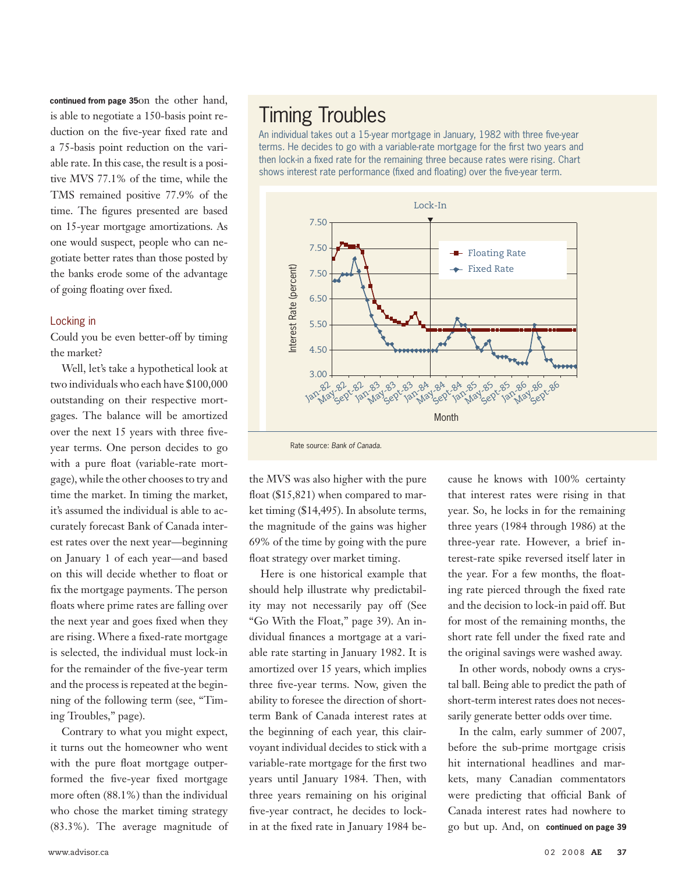continued from page 35on the other hand, is able to negotiate a 150-basis point reduction on the five-year fixed rate and a 75-basis point reduction on the variable rate. In this case, the result is a positive MVS 77.1% of the time, while the TMS remained positive 77.9% of the time. The figures presented are based on 15-year mortgage amortizations. As one would suspect, people who can negotiate better rates than those posted by the banks erode some of the advantage of going floating over fixed.

#### Locking in

Could you be even better-off by timing the market?

Well, let's take a hypothetical look at two individuals who each have \$100,000 outstanding on their respective mortgages. The balance will be amortized over the next 15 years with three fiveyear terms. One person decides to go with a pure float (variable-rate mortgage), while the other chooses to try and time the market. In timing the market, it's assumed the individual is able to accurately forecast Bank of Canada interest rates over the next year—beginning on January 1 of each year—and based on this will decide whether to float or fix the mortgage payments. The person floats where prime rates are falling over the next year and goes fixed when they are rising. Where a fixed-rate mortgage is selected, the individual must lock-in for the remainder of the five-year term and the process is repeated at the beginning of the following term (see, "Timing Troubles," page).

Contrary to what you might expect, it turns out the homeowner who went with the pure float mortgage outperformed the five-year fixed mortgage more often (88.1%) than the individual who chose the market timing strategy (83.3%). The average magnitude of

## Timing Troubles

An individual takes out a 15-year mortgage in January, 1982 with three five-year terms. He decides to go with a variable-rate mortgage for the first two years and then lock-in a fixed rate for the remaining three because rates were rising. Chart shows interest rate performance (fixed and floating) over the five-year term.



Rate source: *Bank of Canada.*

the MVS was also higher with the pure float (\$15,821) when compared to market timing (\$14,495). In absolute terms, the magnitude of the gains was higher 69% of the time by going with the pure float strategy over market timing.

Here is one historical example that should help illustrate why predictability may not necessarily pay off (See "Go With the Float," page 39). An individual finances a mortgage at a variable rate starting in January 1982. It is amortized over 15 years, which implies three five-year terms. Now, given the ability to foresee the direction of shortterm Bank of Canada interest rates at the beginning of each year, this clairvoyant individual decides to stick with a variable-rate mortgage for the first two years until January 1984. Then, with three years remaining on his original five-year contract, he decides to lockin at the fixed rate in January 1984 because he knows with 100% certainty that interest rates were rising in that year. So, he locks in for the remaining three years (1984 through 1986) at the three-year rate. However, a brief interest-rate spike reversed itself later in the year. For a few months, the floating rate pierced through the fixed rate and the decision to lock-in paid off. But for most of the remaining months, the short rate fell under the fixed rate and the original savings were washed away.

In other words, nobody owns a crystal ball. Being able to predict the path of short-term interest rates does not necessarily generate better odds over time.

In the calm, early summer of 2007, before the sub-prime mortgage crisis hit international headlines and markets, many Canadian commentators were predicting that official Bank of Canada interest rates had nowhere to go but up. And, on **continued on page 39**